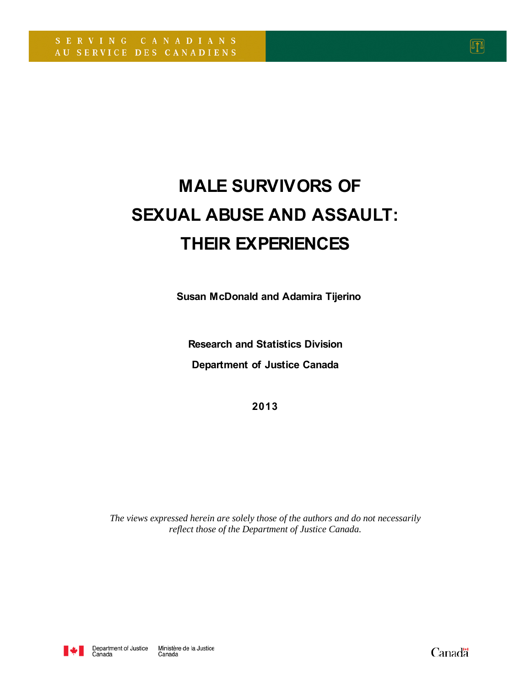# **MALE SURVIVORS OF SEXUAL ABUSE AND ASSAULT: THEIR EXPERIENCES**

 **Susan McDonald and Adamira Tijerino**

**Research and Statistics Division Department of Justice Canada**

**2013**

*The views expressed herein are solely those of the authors and do not necessarily reflect those of the Department of Justice Canada.*



Canadä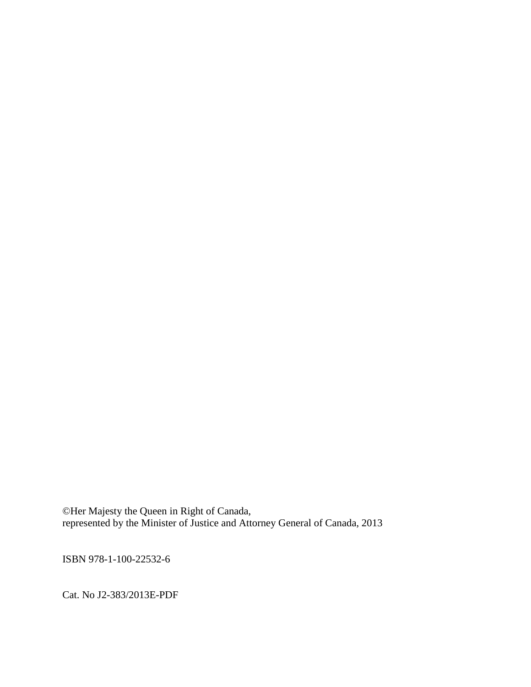©Her Majesty the Queen in Right of Canada, represented by the Minister of Justice and Attorney General of Canada, 2013

ISBN 978-1-100-22532-6

Cat. No J2-383/2013E-PDF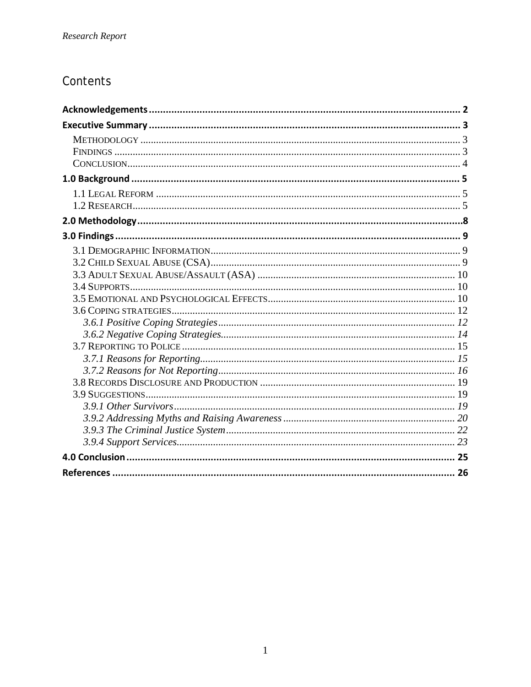# Contents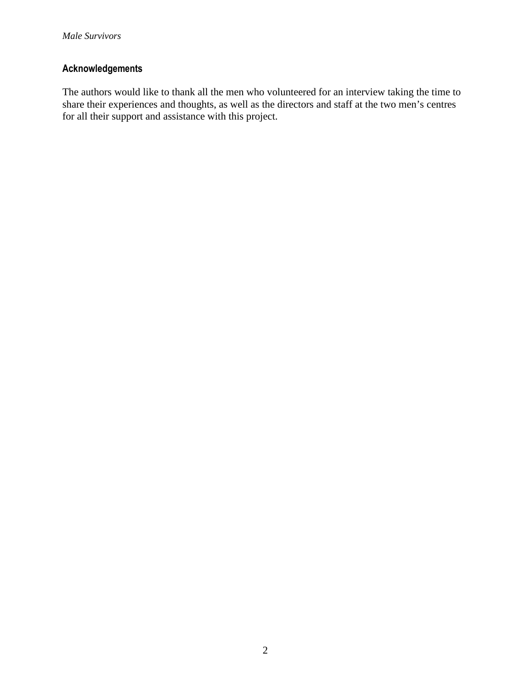# **Acknowledgements**

<span id="page-3-0"></span>The authors would like to thank all the men who volunteered for an interview taking the time to share their experiences and thoughts, as well as the directors and staff at the two men's centres for all their support and assistance with this project.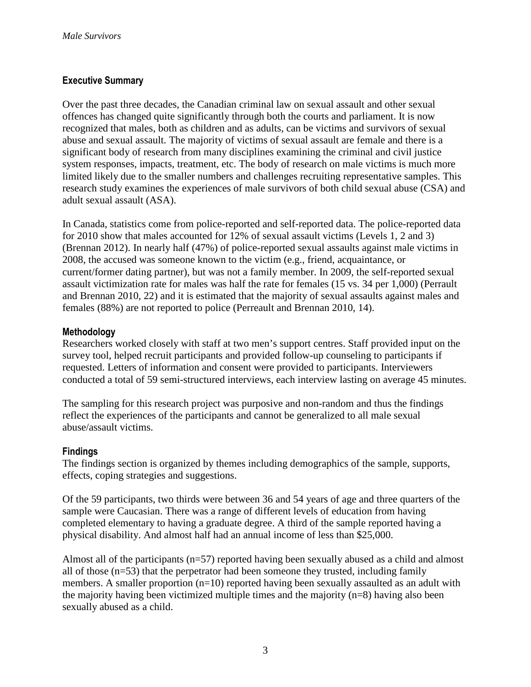# **Executive Summary**

Over the past three decades, the Canadian criminal law on sexual assault and other sexual offences has changed quite significantly through both the courts and parliament. It is now recognized that males, both as children and as adults, can be victims and survivors of sexual abuse and sexual assault. The majority of victims of sexual assault are female and there is a significant body of research from many disciplines examining the criminal and civil justice system responses, impacts, treatment, etc. The body of research on male victims is much more limited likely due to the smaller numbers and challenges recruiting representative samples. This research study examines the experiences of male survivors of both child sexual abuse (CSA) and adult sexual assault (ASA).

In Canada, statistics come from police-reported and self-reported data. The police-reported data for 2010 show that males accounted for 12% of sexual assault victims (Levels 1, 2 and 3) (Brennan 2012). In nearly half (47%) of police-reported sexual assaults against male victims in 2008, the accused was someone known to the victim (e.g., friend, acquaintance, or current/former dating partner), but was not a family member. In 2009, the self-reported sexual assault victimization rate for males was half the rate for females (15 vs. 34 per 1,000) (Perrault and Brennan 2010, 22) and it is estimated that the majority of sexual assaults against males and females (88%) are not reported to police (Perreault and Brennan 2010, 14).

#### **Methodology**

Researchers worked closely with staff at two men's support centres. Staff provided input on the survey tool, helped recruit participants and provided follow-up counseling to participants if requested. Letters of information and consent were provided to participants. Interviewers conducted a total of 59 semi-structured interviews, each interview lasting on average 45 minutes.

The sampling for this research project was purposive and non-random and thus the findings reflect the experiences of the participants and cannot be generalized to all male sexual abuse/assault victims.

#### **Findings**

The findings section is organized by themes including demographics of the sample, supports, effects, coping strategies and suggestions.

Of the 59 participants, two thirds were between 36 and 54 years of age and three quarters of the sample were Caucasian. There was a range of different levels of education from having completed elementary to having a graduate degree. A third of the sample reported having a physical disability. And almost half had an annual income of less than \$25,000.

Almost all of the participants (n=57) reported having been sexually abused as a child and almost all of those  $(n=53)$  that the perpetrator had been someone they trusted, including family members. A smaller proportion  $(n=10)$  reported having been sexually assaulted as an adult with the majority having been victimized multiple times and the majority (n=8) having also been sexually abused as a child.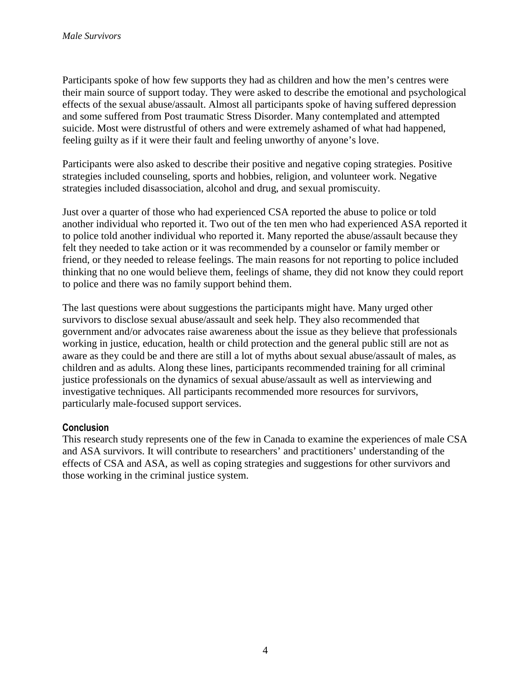Participants spoke of how few supports they had as children and how the men's centres were their main source of support today. They were asked to describe the emotional and psychological effects of the sexual abuse/assault. Almost all participants spoke of having suffered depression and some suffered from Post traumatic Stress Disorder. Many contemplated and attempted suicide. Most were distrustful of others and were extremely ashamed of what had happened, feeling guilty as if it were their fault and feeling unworthy of anyone's love.

Participants were also asked to describe their positive and negative coping strategies. Positive strategies included counseling, sports and hobbies, religion, and volunteer work. Negative strategies included disassociation, alcohol and drug, and sexual promiscuity.

Just over a quarter of those who had experienced CSA reported the abuse to police or told another individual who reported it. Two out of the ten men who had experienced ASA reported it to police told another individual who reported it. Many reported the abuse/assault because they felt they needed to take action or it was recommended by a counselor or family member or friend, or they needed to release feelings. The main reasons for not reporting to police included thinking that no one would believe them, feelings of shame, they did not know they could report to police and there was no family support behind them.

The last questions were about suggestions the participants might have. Many urged other survivors to disclose sexual abuse/assault and seek help. They also recommended that government and/or advocates raise awareness about the issue as they believe that professionals working in justice, education, health or child protection and the general public still are not as aware as they could be and there are still a lot of myths about sexual abuse/assault of males, as children and as adults. Along these lines, participants recommended training for all criminal justice professionals on the dynamics of sexual abuse/assault as well as interviewing and investigative techniques. All participants recommended more resources for survivors, particularly male-focused support services.

#### **Conclusion**

This research study represents one of the few in Canada to examine the experiences of male CSA and ASA survivors. It will contribute to researchers' and practitioners' understanding of the effects of CSA and ASA, as well as coping strategies and suggestions for other survivors and those working in the criminal justice system.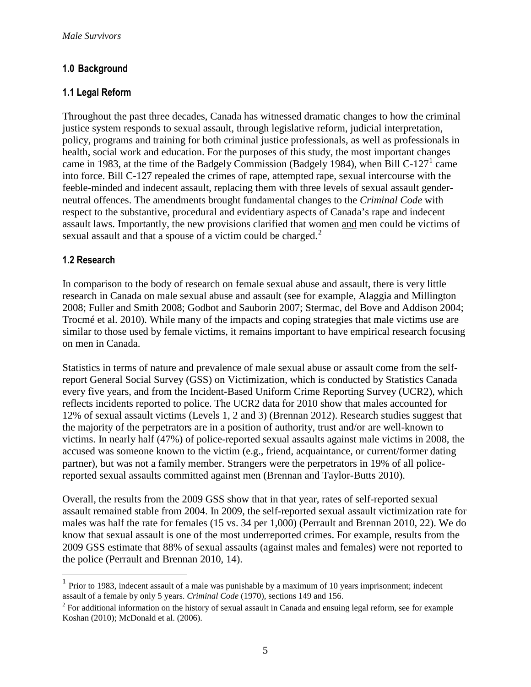# **1.0 Background**

# **1.1 Legal Reform**

Throughout the past three decades, Canada has witnessed dramatic changes to how the criminal justice system responds to sexual assault, through legislative reform, judicial interpretation, policy, programs and training for both criminal justice professionals, as well as professionals in health, social work and education. For the purposes of this study, the most important changes came in [1](#page-3-0)983, at the time of the Badgely Commission (Badgely 1984), when Bill C-127<sup>1</sup> came into force. Bill C-127 repealed the crimes of rape, attempted rape, sexual intercourse with the feeble-minded and indecent assault, replacing them with three levels of sexual assault genderneutral offences. The amendments brought fundamental changes to the *Criminal Code* with respect to the substantive, procedural and evidentiary aspects of Canada's rape and indecent assault laws. Importantly, the new provisions clarified that women and men could be victims of sexual assault and that a spouse of a victim could be charged.<sup>[2](#page-6-0)</sup>

# **1.2 Research**

 $\overline{a}$ 

In comparison to the body of research on female sexual abuse and assault, there is very little research in Canada on male sexual abuse and assault (see for example, Alaggia and Millington 2008; Fuller and Smith 2008; Godbot and Sauborin 2007; Stermac, del Bove and Addison 2004; Trocmé et al. 2010). While many of the impacts and coping strategies that male victims use are similar to those used by female victims, it remains important to have empirical research focusing on men in Canada.

Statistics in terms of nature and prevalence of male sexual abuse or assault come from the selfreport General Social Survey (GSS) on Victimization, which is conducted by Statistics Canada every five years, and from the Incident-Based Uniform Crime Reporting Survey (UCR2), which reflects incidents reported to police. The UCR2 data for 2010 show that males accounted for 12% of sexual assault victims (Levels 1, 2 and 3) (Brennan 2012). Research studies suggest that the majority of the perpetrators are in a position of authority, trust and/or are well-known to victims. In nearly half (47%) of police-reported sexual assaults against male victims in 2008, the accused was someone known to the victim (e.g., friend, acquaintance, or current/former dating partner), but was not a family member. Strangers were the perpetrators in 19% of all policereported sexual assaults committed against men (Brennan and Taylor-Butts 2010).

Overall, the results from the 2009 GSS show that in that year, rates of self-reported sexual assault remained stable from 2004. In 2009, the self-reported sexual assault victimization rate for males was half the rate for females (15 vs. 34 per 1,000) (Perrault and Brennan 2010, 22). We do know that sexual assault is one of the most underreported crimes. For example, results from the 2009 GSS estimate that 88% of sexual assaults (against males and females) were not reported to the police (Perrault and Brennan 2010, 14).

 $<sup>1</sup>$  Prior to 1983, indecent assault of a male was punishable by a maximum of 10 years imprisonment; indecent</sup> assault of a female by only 5 years. *Criminal Code* (1970), sections 149 and 156.

<span id="page-6-1"></span><span id="page-6-0"></span><sup>&</sup>lt;sup>2</sup> For additional information on the history of sexual assault in Canada and ensuing legal reform, see for example Koshan (2010); McDonald et al. (2006).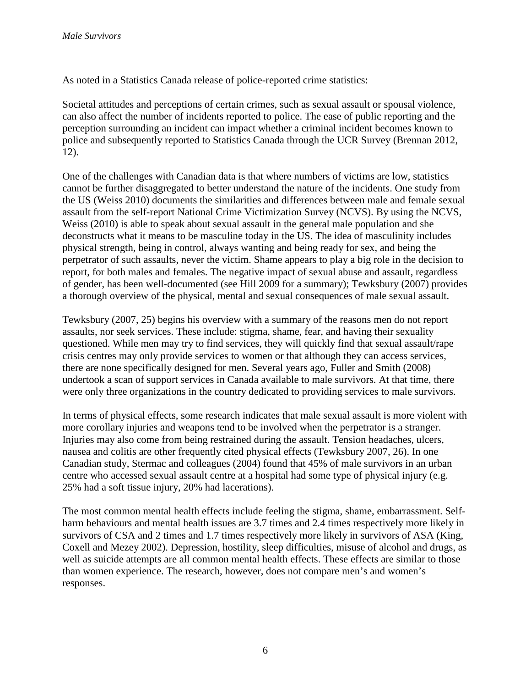As noted in a Statistics Canada release of police-reported crime statistics:

Societal attitudes and perceptions of certain crimes, such as sexual assault or spousal violence, can also affect the number of incidents reported to police. The ease of public reporting and the perception surrounding an incident can impact whether a criminal incident becomes known to police and subsequently reported to Statistics Canada through the UCR Survey (Brennan 2012, 12).

One of the challenges with Canadian data is that where numbers of victims are low, statistics cannot be further disaggregated to better understand the nature of the incidents. One study from the US (Weiss 2010) documents the similarities and differences between male and female sexual assault from the self-report National Crime Victimization Survey (NCVS). By using the NCVS, Weiss (2010) is able to speak about sexual assault in the general male population and she deconstructs what it means to be masculine today in the US. The idea of masculinity includes physical strength, being in control, always wanting and being ready for sex, and being the perpetrator of such assaults, never the victim. Shame appears to play a big role in the decision to report, for both males and females. The negative impact of sexual abuse and assault, regardless of gender, has been well-documented (see Hill 2009 for a summary); Tewksbury (2007) provides a thorough overview of the physical, mental and sexual consequences of male sexual assault.

Tewksbury (2007, 25) begins his overview with a summary of the reasons men do not report assaults, nor seek services. These include: stigma, shame, fear, and having their sexuality questioned. While men may try to find services, they will quickly find that sexual assault/rape crisis centres may only provide services to women or that although they can access services, there are none specifically designed for men. Several years ago, Fuller and Smith (2008) undertook a scan of support services in Canada available to male survivors. At that time, there were only three organizations in the country dedicated to providing services to male survivors.

In terms of physical effects, some research indicates that male sexual assault is more violent with more corollary injuries and weapons tend to be involved when the perpetrator is a stranger. Injuries may also come from being restrained during the assault. Tension headaches, ulcers, nausea and colitis are other frequently cited physical effects (Tewksbury 2007, 26). In one Canadian study, Stermac and colleagues (2004) found that 45% of male survivors in an urban centre who accessed sexual assault centre at a hospital had some type of physical injury (e.g. 25% had a soft tissue injury, 20% had lacerations).

The most common mental health effects include feeling the stigma, shame, embarrassment. Selfharm behaviours and mental health issues are 3.7 times and 2.4 times respectively more likely in survivors of CSA and 2 times and 1.7 times respectively more likely in survivors of ASA (King, Coxell and Mezey 2002). Depression, hostility, sleep difficulties, misuse of alcohol and drugs, as well as suicide attempts are all common mental health effects. These effects are similar to those than women experience. The research, however, does not compare men's and women's responses.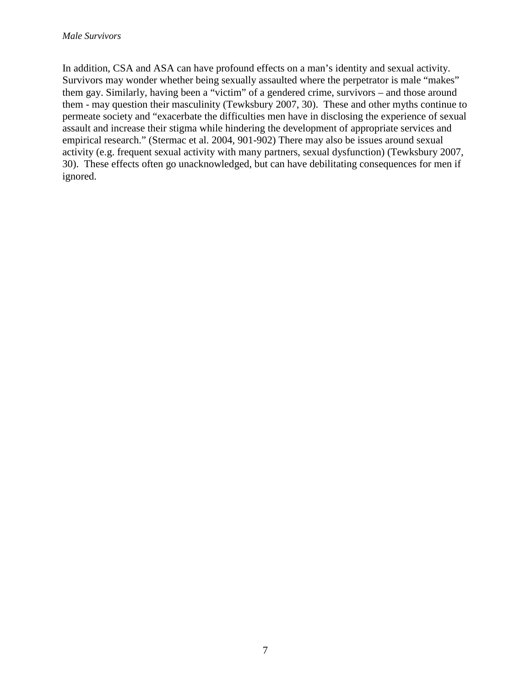In addition, CSA and ASA can have profound effects on a man's identity and sexual activity. Survivors may wonder whether being sexually assaulted where the perpetrator is male "makes" them gay. Similarly, having been a "victim" of a gendered crime, survivors – and those around them - may question their masculinity (Tewksbury 2007, 30). These and other myths continue to permeate society and "exacerbate the difficulties men have in disclosing the experience of sexual assault and increase their stigma while hindering the development of appropriate services and empirical research." (Stermac et al. 2004, 901-902) There may also be issues around sexual activity (e.g. frequent sexual activity with many partners, sexual dysfunction) (Tewksbury 2007, 30). These effects often go unacknowledged, but can have debilitating consequences for men if ignored.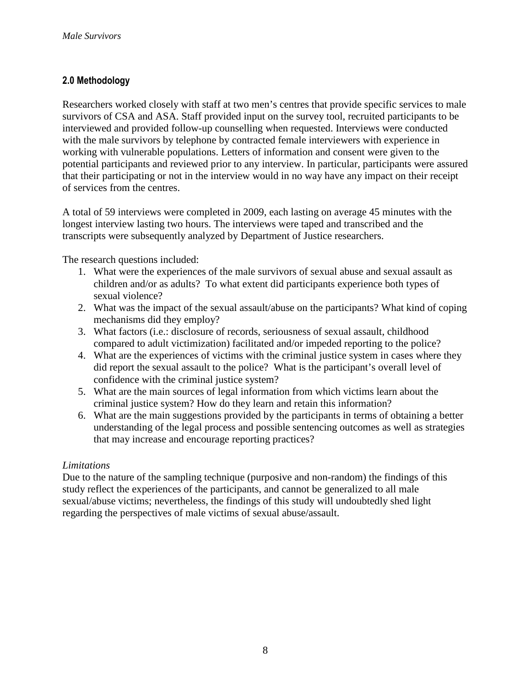# **2.0 Methodology**

Researchers worked closely with staff at two men's centres that provide specific services to male survivors of CSA and ASA. Staff provided input on the survey tool, recruited participants to be interviewed and provided follow-up counselling when requested. Interviews were conducted with the male survivors by telephone by contracted female interviewers with experience in working with vulnerable populations. Letters of information and consent were given to the potential participants and reviewed prior to any interview. In particular, participants were assured that their participating or not in the interview would in no way have any impact on their receipt of services from the centres.

A total of 59 interviews were completed in 2009, each lasting on average 45 minutes with the longest interview lasting two hours. The interviews were taped and transcribed and the transcripts were subsequently analyzed by Department of Justice researchers.

The research questions included:

- 1. What were the experiences of the male survivors of sexual abuse and sexual assault as children and/or as adults? To what extent did participants experience both types of sexual violence?
- 2. What was the impact of the sexual assault/abuse on the participants? What kind of coping mechanisms did they employ?
- 3. What factors (i.e.: disclosure of records, seriousness of sexual assault, childhood compared to adult victimization) facilitated and/or impeded reporting to the police?
- 4. What are the experiences of victims with the criminal justice system in cases where they did report the sexual assault to the police? What is the participant's overall level of confidence with the criminal justice system?
- 5. What are the main sources of legal information from which victims learn about the criminal justice system? How do they learn and retain this information?
- 6. What are the main suggestions provided by the participants in terms of obtaining a better understanding of the legal process and possible sentencing outcomes as well as strategies that may increase and encourage reporting practices?

#### *Limitations*

Due to the nature of the sampling technique (purposive and non-random) the findings of this study reflect the experiences of the participants, and cannot be generalized to all male sexual/abuse victims; nevertheless, the findings of this study will undoubtedly shed light regarding the perspectives of male victims of sexual abuse/assault.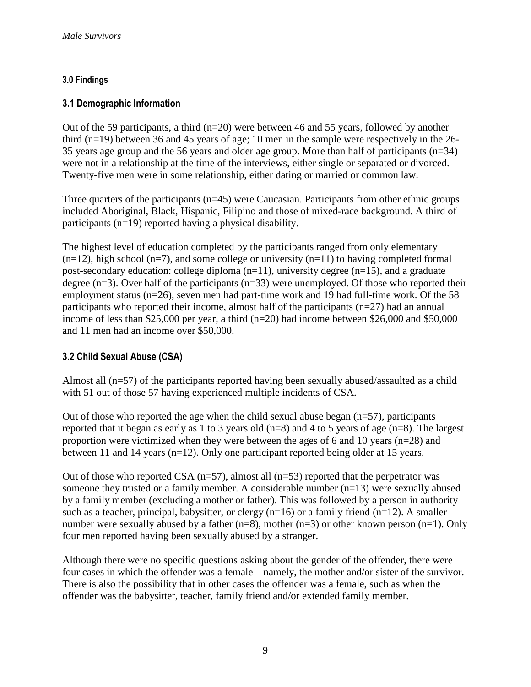# **3.0 Findings**

# **3.1 Demographic Information**

Out of the 59 participants, a third  $(n=20)$  were between 46 and 55 years, followed by another third (n=19) between 36 and 45 years of age; 10 men in the sample were respectively in the 26- 35 years age group and the 56 years and older age group. More than half of participants (n=34) were not in a relationship at the time of the interviews, either single or separated or divorced. Twenty-five men were in some relationship, either dating or married or common law.

Three quarters of the participants (n=45) were Caucasian. Participants from other ethnic groups included Aboriginal, Black, Hispanic, Filipino and those of mixed-race background. A third of participants (n=19) reported having a physical disability.

The highest level of education completed by the participants ranged from only elementary  $(n=12)$ , high school  $(n=7)$ , and some college or university  $(n=11)$  to having completed formal post-secondary education: college diploma  $(n=11)$ , university degree  $(n=15)$ , and a graduate degree ( $n=3$ ). Over half of the participants ( $n=33$ ) were unemployed. Of those who reported their employment status (n=26), seven men had part-time work and 19 had full-time work. Of the 58 participants who reported their income, almost half of the participants ( $n=27$ ) had an annual income of less than \$25,000 per year, a third (n=20) had income between \$26,000 and \$50,000 and 11 men had an income over \$50,000.

# **3.2 Child Sexual Abuse (CSA)**

Almost all (n=57) of the participants reported having been sexually abused/assaulted as a child with 51 out of those 57 having experienced multiple incidents of CSA.

Out of those who reported the age when the child sexual abuse began  $(n=57)$ , participants reported that it began as early as 1 to 3 years old (n=8) and 4 to 5 years of age (n=8). The largest proportion were victimized when they were between the ages of 6 and 10 years (n=28) and between 11 and 14 years (n=12). Only one participant reported being older at 15 years.

Out of those who reported CSA  $(n=57)$ , almost all  $(n=53)$  reported that the perpetrator was someone they trusted or a family member. A considerable number (n=13) were sexually abused by a family member (excluding a mother or father). This was followed by a person in authority such as a teacher, principal, babysitter, or clergy  $(n=16)$  or a family friend  $(n=12)$ . A smaller number were sexually abused by a father  $(n=8)$ , mother  $(n=3)$  or other known person  $(n=1)$ . Only four men reported having been sexually abused by a stranger.

Although there were no specific questions asking about the gender of the offender, there were four cases in which the offender was a female – namely, the mother and/or sister of the survivor. There is also the possibility that in other cases the offender was a female, such as when the offender was the babysitter, teacher, family friend and/or extended family member.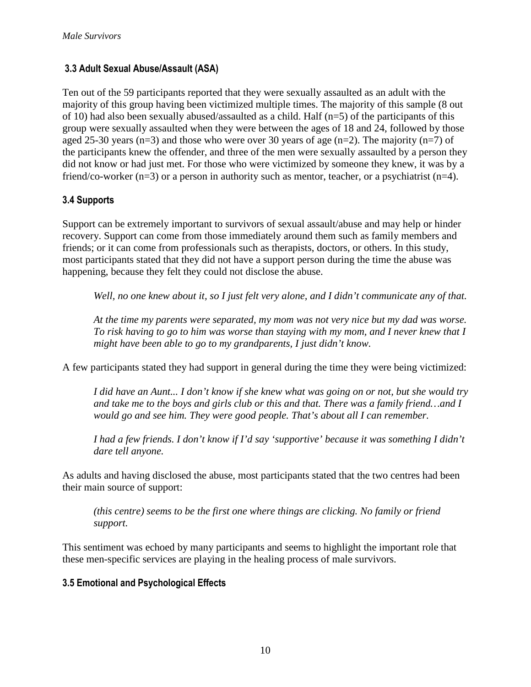# **3.3 Adult Sexual Abuse/Assault (ASA)**

Ten out of the 59 participants reported that they were sexually assaulted as an adult with the majority of this group having been victimized multiple times. The majority of this sample (8 out of 10) had also been sexually abused/assaulted as a child. Half (n=5) of the participants of this group were sexually assaulted when they were between the ages of 18 and 24, followed by those aged 25-30 years (n=3) and those who were over 30 years of age (n=2). The majority (n=7) of the participants knew the offender, and three of the men were sexually assaulted by a person they did not know or had just met. For those who were victimized by someone they knew, it was by a friend/co-worker (n=3) or a person in authority such as mentor, teacher, or a psychiatrist (n=4).

# **3.4 Supports**

Support can be extremely important to survivors of sexual assault/abuse and may help or hinder recovery. Support can come from those immediately around them such as family members and friends; or it can come from professionals such as therapists, doctors, or others. In this study, most participants stated that they did not have a support person during the time the abuse was happening, because they felt they could not disclose the abuse.

*Well, no one knew about it, so I just felt very alone, and I didn't communicate any of that.* 

*At the time my parents were separated, my mom was not very nice but my dad was worse. To risk having to go to him was worse than staying with my mom, and I never knew that I might have been able to go to my grandparents, I just didn't know.* 

A few participants stated they had support in general during the time they were being victimized:

*I did have an Aunt... I don't know if she knew what was going on or not, but she would try and take me to the boys and girls club or this and that. There was a family friend…and I would go and see him. They were good people. That's about all I can remember.* 

*I had a few friends. I don't know if I'd say 'supportive' because it was something I didn't dare tell anyone.* 

As adults and having disclosed the abuse, most participants stated that the two centres had been their main source of support:

*(this centre) seems to be the first one where things are clicking. No family or friend support.* 

This sentiment was echoed by many participants and seems to highlight the important role that these men-specific services are playing in the healing process of male survivors.

# **3.5 Emotional and Psychological Effects**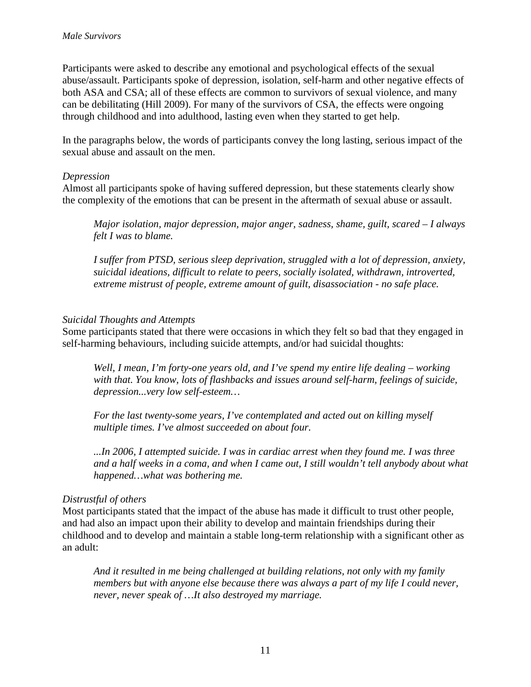Participants were asked to describe any emotional and psychological effects of the sexual abuse/assault. Participants spoke of depression, isolation, self-harm and other negative effects of both ASA and CSA; all of these effects are common to survivors of sexual violence, and many can be debilitating (Hill 2009). For many of the survivors of CSA, the effects were ongoing through childhood and into adulthood, lasting even when they started to get help.

In the paragraphs below, the words of participants convey the long lasting, serious impact of the sexual abuse and assault on the men.

#### *Depression*

Almost all participants spoke of having suffered depression, but these statements clearly show the complexity of the emotions that can be present in the aftermath of sexual abuse or assault.

*Major isolation, major depression, major anger, sadness, shame, guilt, scared – I always felt I was to blame.*

*I suffer from PTSD, serious sleep deprivation, struggled with a lot of depression, anxiety, suicidal ideations, difficult to relate to peers, socially isolated, withdrawn, introverted, extreme mistrust of people, extreme amount of guilt, disassociation - no safe place.* 

#### *Suicidal Thoughts and Attempts*

Some participants stated that there were occasions in which they felt so bad that they engaged in self-harming behaviours, including suicide attempts, and/or had suicidal thoughts:

*Well, I mean, I'm forty-one years old, and I've spend my entire life dealing – working with that. You know, lots of flashbacks and issues around self-harm, feelings of suicide, depression...very low self-esteem…* 

*For the last twenty-some years, I've contemplated and acted out on killing myself multiple times. I've almost succeeded on about four.* 

*...In 2006, I attempted suicide. I was in cardiac arrest when they found me. I was three and a half weeks in a coma, and when I came out, I still wouldn't tell anybody about what happened…what was bothering me.*

#### *Distrustful of others*

Most participants stated that the impact of the abuse has made it difficult to trust other people, and had also an impact upon their ability to develop and maintain friendships during their childhood and to develop and maintain a stable long-term relationship with a significant other as an adult:

*And it resulted in me being challenged at building relations, not only with my family members but with anyone else because there was always a part of my life I could never, never, never speak of …It also destroyed my marriage.*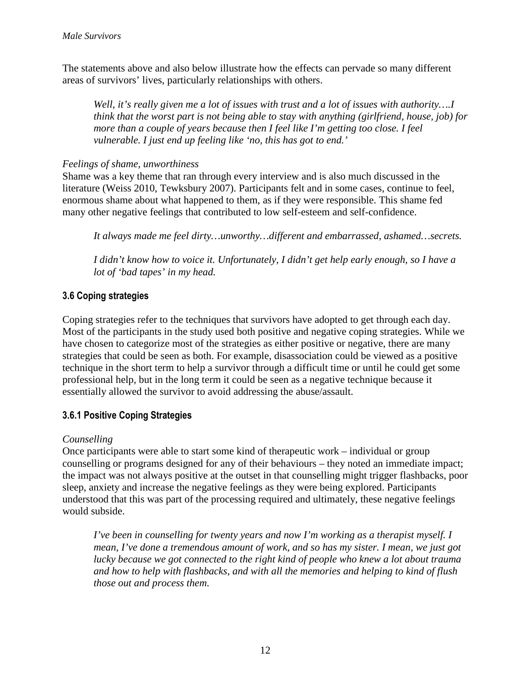The statements above and also below illustrate how the effects can pervade so many different areas of survivors' lives, particularly relationships with others.

*Well, it's really given me a lot of issues with trust and a lot of issues with authority….I think that the worst part is not being able to stay with anything (girlfriend, house, job) for more than a couple of years because then I feel like I'm getting too close. I feel vulnerable. I just end up feeling like 'no, this has got to end.'* 

#### *Feelings of shame, unworthiness*

Shame was a key theme that ran through every interview and is also much discussed in the literature (Weiss 2010, Tewksbury 2007). Participants felt and in some cases, continue to feel, enormous shame about what happened to them, as if they were responsible. This shame fed many other negative feelings that contributed to low self-esteem and self-confidence.

*It always made me feel dirty…unworthy…different and embarrassed, ashamed…secrets.* 

*I didn't know how to voice it. Unfortunately, I didn't get help early enough, so I have a lot of 'bad tapes' in my head.* 

# **3.6 Coping strategies**

Coping strategies refer to the techniques that survivors have adopted to get through each day. Most of the participants in the study used both positive and negative coping strategies. While we have chosen to categorize most of the strategies as either positive or negative, there are many strategies that could be seen as both. For example, disassociation could be viewed as a positive technique in the short term to help a survivor through a difficult time or until he could get some professional help, but in the long term it could be seen as a negative technique because it essentially allowed the survivor to avoid addressing the abuse/assault.

# **3.6.1 Positive Coping Strategies**

#### *Counselling*

Once participants were able to start some kind of therapeutic work – individual or group counselling or programs designed for any of their behaviours – they noted an immediate impact; the impact was not always positive at the outset in that counselling might trigger flashbacks, poor sleep, anxiety and increase the negative feelings as they were being explored. Participants understood that this was part of the processing required and ultimately, these negative feelings would subside.

*I've been in counselling for twenty years and now I'm working as a therapist myself. I mean, I've done a tremendous amount of work, and so has my sister. I mean, we just got lucky because we got connected to the right kind of people who knew a lot about trauma and how to help with flashbacks, and with all the memories and helping to kind of flush those out and process them.*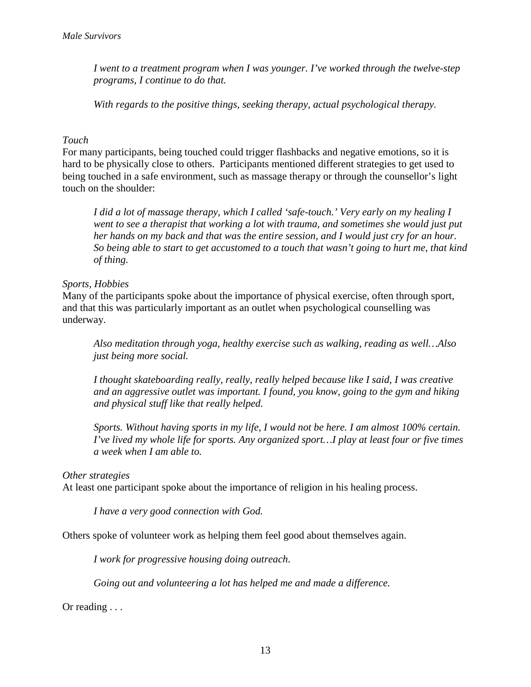*I went to a treatment program when I was younger. I've worked through the twelve-step programs, I continue to do that.* 

*With regards to the positive things, seeking therapy, actual psychological therapy.* 

#### *Touch*

For many participants, being touched could trigger flashbacks and negative emotions, so it is hard to be physically close to others. Participants mentioned different strategies to get used to being touched in a safe environment, such as massage therapy or through the counsellor's light touch on the shoulder:

*I did a lot of massage therapy, which I called 'safe-touch.' Very early on my healing I*  went to see a therapist that working a lot with trauma, and sometimes she would just put *her hands on my back and that was the entire session, and I would just cry for an hour. So being able to start to get accustomed to a touch that wasn't going to hurt me, that kind of thing.* 

#### *Sports, Hobbies*

Many of the participants spoke about the importance of physical exercise, often through sport, and that this was particularly important as an outlet when psychological counselling was underway.

*Also meditation through yoga, healthy exercise such as walking, reading as well…Also just being more social.* 

*I thought skateboarding really, really, really helped because like I said, I was creative and an aggressive outlet was important. I found, you know, going to the gym and hiking and physical stuff like that really helped.* 

*Sports. Without having sports in my life, I would not be here. I am almost 100% certain. I've lived my whole life for sports. Any organized sport…I play at least four or five times a week when I am able to.* 

#### *Other strategies*

At least one participant spoke about the importance of religion in his healing process.

*I have a very good connection with God.* 

Others spoke of volunteer work as helping them feel good about themselves again.

*I work for progressive housing doing outreach*.

*Going out and volunteering a lot has helped me and made a difference.* 

Or reading . . .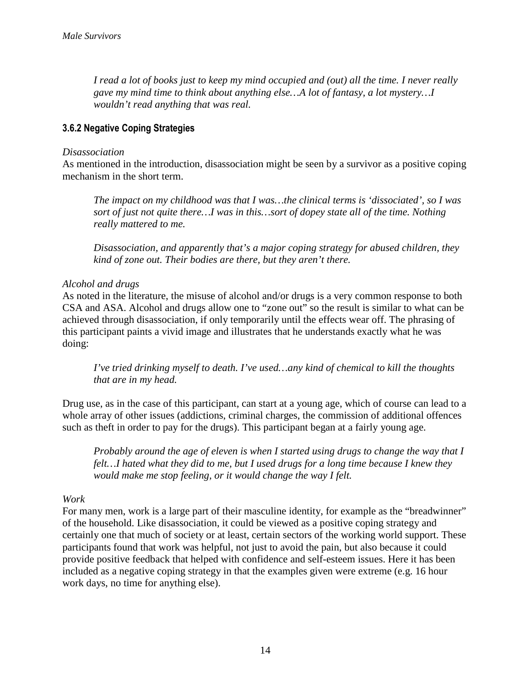*I read a lot of books just to keep my mind occupied and (out) all the time. I never really gave my mind time to think about anything else…A lot of fantasy, a lot mystery…I wouldn't read anything that was real.* 

# **3.6.2 Negative Coping Strategies**

#### *Disassociation*

As mentioned in the introduction, disassociation might be seen by a survivor as a positive coping mechanism in the short term.

*The impact on my childhood was that I was…the clinical terms is 'dissociated', so I was sort of just not quite there…I was in this…sort of dopey state all of the time. Nothing really mattered to me.*

*Disassociation, and apparently that's a major coping strategy for abused children, they kind of zone out. Their bodies are there, but they aren't there.* 

#### *Alcohol and drugs*

As noted in the literature, the misuse of alcohol and/or drugs is a very common response to both CSA and ASA. Alcohol and drugs allow one to "zone out" so the result is similar to what can be achieved through disassociation, if only temporarily until the effects wear off. The phrasing of this participant paints a vivid image and illustrates that he understands exactly what he was doing:

*I've tried drinking myself to death. I've used…any kind of chemical to kill the thoughts that are in my head.* 

Drug use, as in the case of this participant, can start at a young age, which of course can lead to a whole array of other issues (addictions, criminal charges, the commission of additional offences such as theft in order to pay for the drugs). This participant began at a fairly young age.

*Probably around the age of eleven is when I started using drugs to change the way that I felt…I hated what they did to me, but I used drugs for a long time because I knew they would make me stop feeling, or it would change the way I felt.* 

#### *Work*

For many men, work is a large part of their masculine identity, for example as the "breadwinner" of the household. Like disassociation, it could be viewed as a positive coping strategy and certainly one that much of society or at least, certain sectors of the working world support. These participants found that work was helpful, not just to avoid the pain, but also because it could provide positive feedback that helped with confidence and self-esteem issues. Here it has been included as a negative coping strategy in that the examples given were extreme (e.g. 16 hour work days, no time for anything else).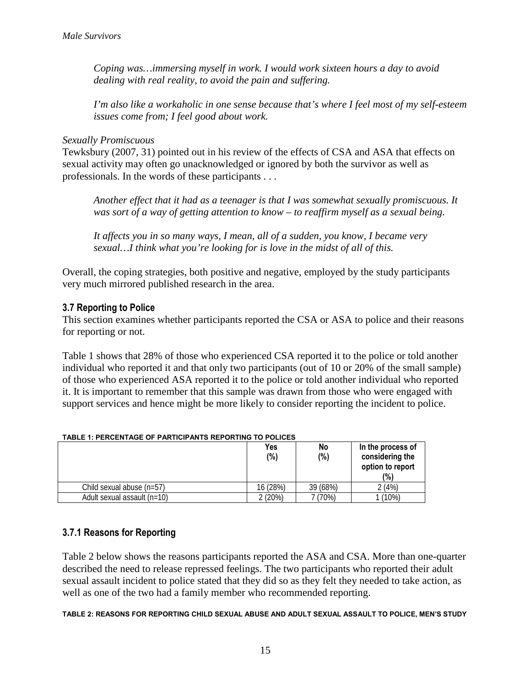*Coping was…immersing myself in work. I would work sixteen hours a day to avoid dealing with real reality, to avoid the pain and suffering.* 

*I'm also like a workaholic in one sense because that's where I feel most of my self-esteem issues come from; I feel good about work.* 

#### *Sexually Promiscuous*

Tewksbury (2007, 31) pointed out in his review of the effects of CSA and ASA that effects on sexual activity may often go unacknowledged or ignored by both the survivor as well as professionals. In the words of these participants . . .

*Another effect that it had as a teenager is that I was somewhat sexually promiscuous. It was sort of a way of getting attention to know – to reaffirm myself as a sexual being.* 

*It affects you in so many ways, I mean, all of a sudden, you know, I became very sexual…I think what you're looking for is love in the midst of all of this.* 

Overall, the coping strategies, both positive and negative, employed by the study participants very much mirrored published research in the area.

#### **3.7 Reporting to Police**

This section examines whether participants reported the CSA or ASA to police and their reasons for reporting or not.

Table 1 shows that 28% of those who experienced CSA reported it to the police or told another individual who reported it and that only two participants (out of 10 or 20% of the small sample) of those who experienced ASA reported it to the police or told another individual who reported it. It is important to remember that this sample was drawn from those who were engaged with support services and hence might be more likely to consider reporting the incident to police.

|                             | Yes<br>(%) | No<br>(%) | In the process of<br>considering the<br>option to report<br>(%) |
|-----------------------------|------------|-----------|-----------------------------------------------------------------|
| Child sexual abuse (n=57)   | 16 (28%)   | 39 (68%)  | 2(4%)                                                           |
| Adult sexual assault (n=10) | 2(20%)     | 7 (70%)   | (10%)                                                           |

#### **TABLE 1: PERCENTAGE OF PARTICIPANTS REPORTING TO POLICES**

#### **3.7.1 Reasons for Reporting**

Table 2 below shows the reasons participants reported the ASA and CSA. More than one-quarter described the need to release repressed feelings. The two participants who reported their adult sexual assault incident to police stated that they did so as they felt they needed to take action, as well as one of the two had a family member who recommended reporting.

**TABLE 2: REASONS FOR REPORTING CHILD SEXUAL ABUSE AND ADULT SEXUAL ASSAULT TO POLICE, MEN'S STUDY**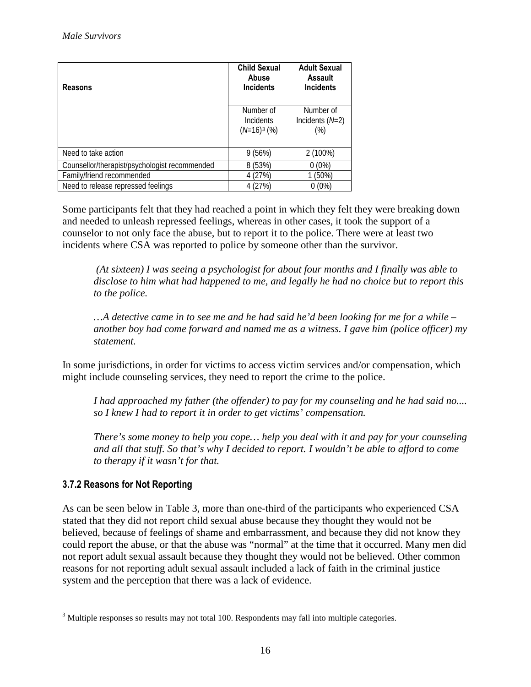| <b>Reasons</b>                                | <b>Child Sexual</b><br>Abuse<br><b>Incidents</b> | <b>Adult Sexual</b><br>Assault<br><b>Incidents</b> |
|-----------------------------------------------|--------------------------------------------------|----------------------------------------------------|
|                                               | Number of<br>Incidents<br>$(N=16)^3$ (%)         | Number of<br>Incidents $(N=2)$<br>$(\%)$           |
| Need to take action                           | 9(56%)                                           | 2 (100%)                                           |
| Counsellor/therapist/psychologist recommended | 8 (53%)                                          | $0(0\%)$                                           |
| Family/friend recommended                     | 4 (27%)                                          | $1(50\%)$                                          |
| Need to release repressed feelings            | 4 (27%)                                          | $0(0\%)$                                           |

Some participants felt that they had reached a point in which they felt they were breaking down and needed to unleash repressed feelings, whereas in other cases, it took the support of a counselor to not only face the abuse, but to report it to the police. There were at least two incidents where CSA was reported to police by someone other than the survivor.

 *(At sixteen) I was seeing a psychologist for about four months and I finally was able to disclose to him what had happened to me, and legally he had no choice but to report this to the police.* 

*…A detective came in to see me and he had said he'd been looking for me for a while – another boy had come forward and named me as a witness. I gave him (police officer) my statement.*

In some jurisdictions, in order for victims to access victim services and/or compensation, which might include counseling services, they need to report the crime to the police.

*I had approached my father (the offender) to pay for my counseling and he had said no.... so I knew I had to report it in order to get victims' compensation.* 

*There's some money to help you cope… help you deal with it and pay for your counseling and all that stuff. So that's why I decided to report. I wouldn't be able to afford to come to therapy if it wasn't for that.*

# **3.7.2 Reasons for Not Reporting**

As can be seen below in Table 3, more than one-third of the participants who experienced CSA stated that they did not report child sexual abuse because they thought they would not be believed, because of feelings of shame and embarrassment, and because they did not know they could report the abuse, or that the abuse was "normal" at the time that it occurred. Many men did not report adult sexual assault because they thought they would not be believed. Other common reasons for not reporting adult sexual assault included a lack of faith in the criminal justice system and the perception that there was a lack of evidence.

<span id="page-17-0"></span> $\overline{a}$ <sup>3</sup> Multiple responses so results may not total 100. Respondents may fall into multiple categories.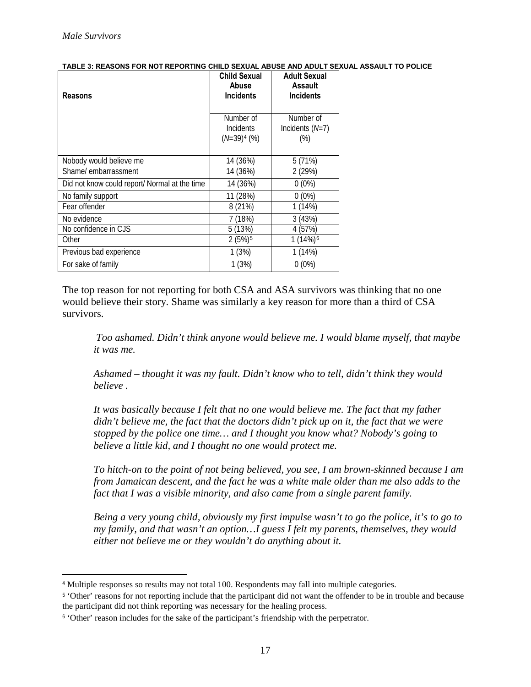$\overline{a}$ 

|                                                | <b>Child Sexual</b><br>Abuse                    | <b>Adult Sexual</b><br>Assault             |
|------------------------------------------------|-------------------------------------------------|--------------------------------------------|
| <b>Reasons</b>                                 | <b>Incidents</b>                                | <b>Incidents</b>                           |
|                                                | Number of<br><b>Incidents</b><br>$(N=39)^4$ (%) | Number of<br>Incidents $(N=7)$<br>$(\%)$   |
| Nobody would believe me<br>Shame/embarrassment | 14 (36%)<br>14 (36%)                            | 5(71%)<br>2(29%)                           |
| Did not know could report/ Normal at the time  | 14 (36%)                                        | $0(0\%)$                                   |
| No family support                              | 11 (28%)                                        | $0(0\%)$                                   |
| Fear offender                                  | 8 (21%)                                         | 1(14%)                                     |
| No evidence<br>No confidence in CJS<br>Other   | 7 (18%)<br>5(13%)<br>$2(5%)^5$                  | 3 (43%)<br>4 (57%)<br>1 (14%) <sup>6</sup> |
| Previous bad experience                        | 1(3%)                                           | 1(14%)                                     |
| For sake of family                             | 1(3%)                                           | $0(0\%)$                                   |

**TABLE 3: REASONS FOR NOT REPORTING CHILD SEXUAL ABUSE AND ADULT SEXUAL ASSAULT TO POLICE**

The top reason for not reporting for both CSA and ASA survivors was thinking that no one would believe their story. Shame was similarly a key reason for more than a third of CSA survivors.

 *Too ashamed. Didn't think anyone would believe me. I would blame myself, that maybe it was me.*

*Ashamed – thought it was my fault. Didn't know who to tell, didn't think they would believe .*

*It was basically because I felt that no one would believe me. The fact that my father didn't believe me, the fact that the doctors didn't pick up on it, the fact that we were stopped by the police one time… and I thought you know what? Nobody's going to believe a little kid, and I thought no one would protect me.* 

*To hitch-on to the point of not being believed, you see, I am brown-skinned because I am from Jamaican descent, and the fact he was a white male older than me also adds to the fact that I was a visible minority, and also came from a single parent family.* 

*Being a very young child, obviously my first impulse wasn't to go the police, it's to go to my family, and that wasn't an option…I guess I felt my parents, themselves, they would either not believe me or they wouldn't do anything about it.* 

<sup>4</sup> Multiple responses so results may not total 100. Respondents may fall into multiple categories.

<span id="page-18-0"></span><sup>&</sup>lt;sup>5</sup> 'Other' reasons for not reporting include that the participant did not want the offender to be in trouble and because the participant did not think reporting was necessary for the healing process.

<span id="page-18-2"></span><span id="page-18-1"></span><sup>6</sup> 'Other' reason includes for the sake of the participant's friendship with the perpetrator.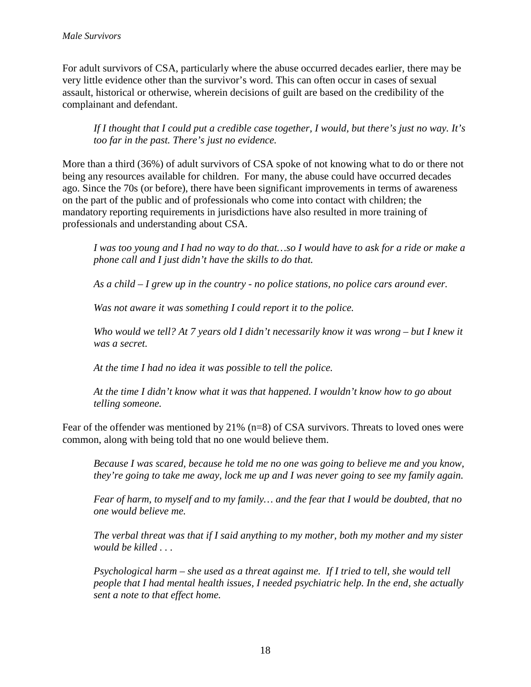For adult survivors of CSA, particularly where the abuse occurred decades earlier, there may be very little evidence other than the survivor's word. This can often occur in cases of sexual assault, historical or otherwise, wherein decisions of guilt are based on the credibility of the complainant and defendant.

*If I thought that I could put a credible case together, I would, but there's just no way. It's too far in the past. There's just no evidence.* 

More than a third (36%) of adult survivors of CSA spoke of not knowing what to do or there not being any resources available for children. For many, the abuse could have occurred decades ago. Since the 70s (or before), there have been significant improvements in terms of awareness on the part of the public and of professionals who come into contact with children; the mandatory reporting requirements in jurisdictions have also resulted in more training of professionals and understanding about CSA.

*I was too young and I had no way to do that…so I would have to ask for a ride or make a phone call and I just didn't have the skills to do that.* 

*As a child – I grew up in the country - no police stations, no police cars around ever.* 

*Was not aware it was something I could report it to the police.* 

*Who would we tell? At 7 years old I didn't necessarily know it was wrong – but I knew it was a secret.*

*At the time I had no idea it was possible to tell the police.* 

*At the time I didn't know what it was that happened. I wouldn't know how to go about telling someone.* 

Fear of the offender was mentioned by 21% (n=8) of CSA survivors. Threats to loved ones were common, along with being told that no one would believe them.

*Because I was scared, because he told me no one was going to believe me and you know, they're going to take me away, lock me up and I was never going to see my family again.* 

*Fear of harm, to myself and to my family… and the fear that I would be doubted, that no one would believe me.*

*The verbal threat was that if I said anything to my mother, both my mother and my sister would be killed . . .* 

*Psychological harm – she used as a threat against me. If I tried to tell, she would tell people that I had mental health issues, I needed psychiatric help. In the end, she actually sent a note to that effect home.*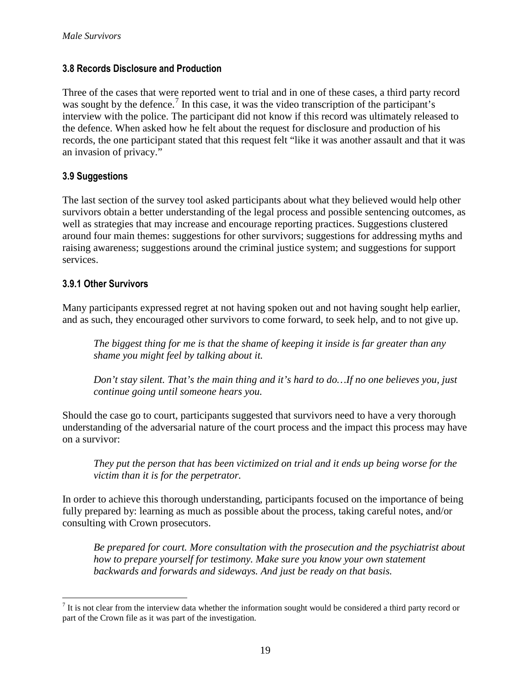## **3.8 Records Disclosure and Production**

Three of the cases that were reported went to trial and in one of these cases, a third party record was sought by the defence.<sup>[7](#page-18-2)</sup> In this case, it was the video transcription of the participant's interview with the police. The participant did not know if this record was ultimately released to the defence. When asked how he felt about the request for disclosure and production of his records, the one participant stated that this request felt "like it was another assault and that it was an invasion of privacy."

# **3.9 Suggestions**

The last section of the survey tool asked participants about what they believed would help other survivors obtain a better understanding of the legal process and possible sentencing outcomes, as well as strategies that may increase and encourage reporting practices. Suggestions clustered around four main themes: suggestions for other survivors; suggestions for addressing myths and raising awareness; suggestions around the criminal justice system; and suggestions for support services.

# **3.9.1 Other Survivors**

 $\overline{a}$ 

Many participants expressed regret at not having spoken out and not having sought help earlier, and as such, they encouraged other survivors to come forward, to seek help, and to not give up.

*The biggest thing for me is that the shame of keeping it inside is far greater than any shame you might feel by talking about it.*

*Don't stay silent. That's the main thing and it's hard to do…If no one believes you, just continue going until someone hears you.* 

Should the case go to court, participants suggested that survivors need to have a very thorough understanding of the adversarial nature of the court process and the impact this process may have on a survivor:

*They put the person that has been victimized on trial and it ends up being worse for the victim than it is for the perpetrator.* 

In order to achieve this thorough understanding, participants focused on the importance of being fully prepared by: learning as much as possible about the process, taking careful notes, and/or consulting with Crown prosecutors.

*Be prepared for court. More consultation with the prosecution and the psychiatrist about how to prepare yourself for testimony. Make sure you know your own statement backwards and forwards and sideways. And just be ready on that basis.* 

<span id="page-20-0"></span> $<sup>7</sup>$  It is not clear from the interview data whether the information sought would be considered a third party record or</sup> part of the Crown file as it was part of the investigation.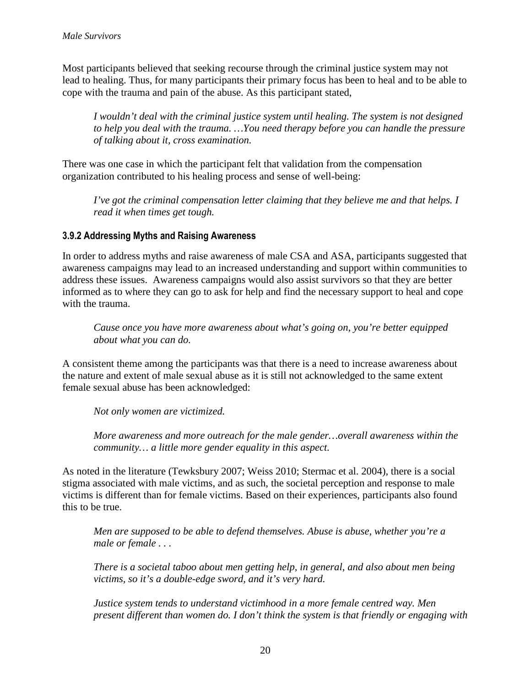Most participants believed that seeking recourse through the criminal justice system may not lead to healing. Thus, for many participants their primary focus has been to heal and to be able to cope with the trauma and pain of the abuse. As this participant stated,

*I wouldn't deal with the criminal justice system until healing. The system is not designed to help you deal with the trauma. …You need therapy before you can handle the pressure of talking about it, cross examination.* 

There was one case in which the participant felt that validation from the compensation organization contributed to his healing process and sense of well-being:

*I've got the criminal compensation letter claiming that they believe me and that helps. I read it when times get tough.* 

# **3.9.2 Addressing Myths and Raising Awareness**

In order to address myths and raise awareness of male CSA and ASA, participants suggested that awareness campaigns may lead to an increased understanding and support within communities to address these issues. Awareness campaigns would also assist survivors so that they are better informed as to where they can go to ask for help and find the necessary support to heal and cope with the trauma.

*Cause once you have more awareness about what's going on, you're better equipped about what you can do.* 

A consistent theme among the participants was that there is a need to increase awareness about the nature and extent of male sexual abuse as it is still not acknowledged to the same extent female sexual abuse has been acknowledged:

*Not only women are victimized.* 

*More awareness and more outreach for the male gender…overall awareness within the community… a little more gender equality in this aspect.* 

As noted in the literature (Tewksbury 2007; Weiss 2010; Stermac et al. 2004), there is a social stigma associated with male victims, and as such, the societal perception and response to male victims is different than for female victims. Based on their experiences, participants also found this to be true.

*Men are supposed to be able to defend themselves. Abuse is abuse, whether you're a male or female . . .* 

*There is a societal taboo about men getting help, in general, and also about men being victims, so it's a double-edge sword, and it's very hard.* 

*Justice system tends to understand victimhood in a more female centred way. Men present different than women do. I don't think the system is that friendly or engaging with*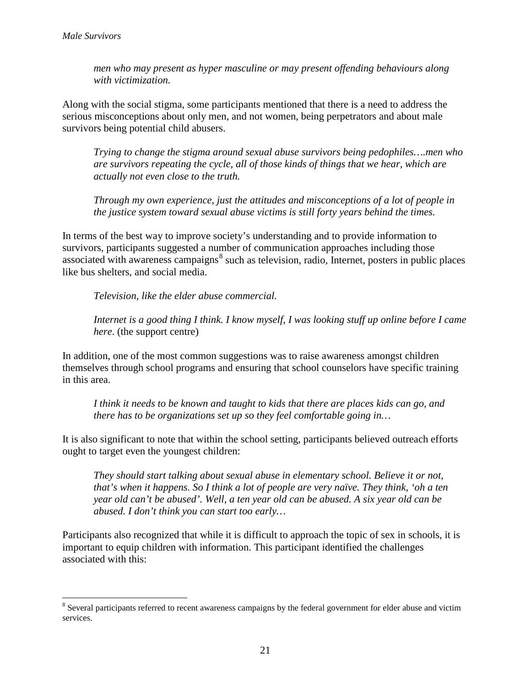$\overline{a}$ 

*men who may present as hyper masculine or may present offending behaviours along with victimization.*

Along with the social stigma, some participants mentioned that there is a need to address the serious misconceptions about only men, and not women, being perpetrators and about male survivors being potential child abusers.

*Trying to change the stigma around sexual abuse survivors being pedophiles….men who are survivors repeating the cycle, all of those kinds of things that we hear, which are actually not even close to the truth.* 

*Through my own experience, just the attitudes and misconceptions of a lot of people in the justice system toward sexual abuse victims is still forty years behind the times.* 

In terms of the best way to improve society's understanding and to provide information to survivors, participants suggested a number of communication approaches including those associated with awareness campaigns<sup>[8](#page-20-0)</sup> such as television, radio, Internet, posters in public places like bus shelters, and social media.

*Television, like the elder abuse commercial.*

*Internet is a good thing I think. I know myself, I was looking stuff up online before I came here*. (the support centre)

In addition, one of the most common suggestions was to raise awareness amongst children themselves through school programs and ensuring that school counselors have specific training in this area.

*I think it needs to be known and taught to kids that there are places kids can go, and there has to be organizations set up so they feel comfortable going in…* 

It is also significant to note that within the school setting, participants believed outreach efforts ought to target even the youngest children:

*They should start talking about sexual abuse in elementary school. Believe it or not, that's when it happens. So I think a lot of people are very naïve. They think, 'oh a ten year old can't be abused'. Well, a ten year old can be abused. A six year old can be abused. I don't think you can start too early…* 

<span id="page-22-0"></span>Participants also recognized that while it is difficult to approach the topic of sex in schools, it is important to equip children with information. This participant identified the challenges associated with this:

<sup>&</sup>lt;sup>8</sup> Several participants referred to recent awareness campaigns by the federal government for elder abuse and victim services.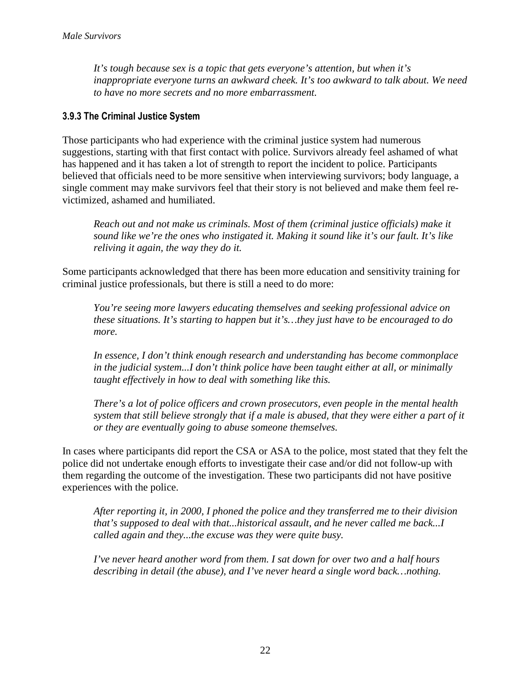*It's tough because sex is a topic that gets everyone's attention, but when it's inappropriate everyone turns an awkward cheek. It's too awkward to talk about. We need to have no more secrets and no more embarrassment.* 

# **3.9.3 The Criminal Justice System**

Those participants who had experience with the criminal justice system had numerous suggestions, starting with that first contact with police. Survivors already feel ashamed of what has happened and it has taken a lot of strength to report the incident to police. Participants believed that officials need to be more sensitive when interviewing survivors; body language, a single comment may make survivors feel that their story is not believed and make them feel revictimized, ashamed and humiliated.

*Reach out and not make us criminals. Most of them (criminal justice officials) make it sound like we're the ones who instigated it. Making it sound like it's our fault. It's like reliving it again, the way they do it.* 

Some participants acknowledged that there has been more education and sensitivity training for criminal justice professionals, but there is still a need to do more:

*You're seeing more lawyers educating themselves and seeking professional advice on these situations. It's starting to happen but it's…they just have to be encouraged to do more.*

*In essence, I don't think enough research and understanding has become commonplace in the judicial system...I don't think police have been taught either at all, or minimally taught effectively in how to deal with something like this.* 

*There's a lot of police officers and crown prosecutors, even people in the mental health system that still believe strongly that if a male is abused, that they were either a part of it or they are eventually going to abuse someone themselves.* 

In cases where participants did report the CSA or ASA to the police, most stated that they felt the police did not undertake enough efforts to investigate their case and/or did not follow-up with them regarding the outcome of the investigation. These two participants did not have positive experiences with the police.

*After reporting it, in 2000, I phoned the police and they transferred me to their division that's supposed to deal with that...historical assault, and he never called me back...I called again and they...the excuse was they were quite busy.* 

*I've never heard another word from them. I sat down for over two and a half hours describing in detail (the abuse), and I've never heard a single word back…nothing.*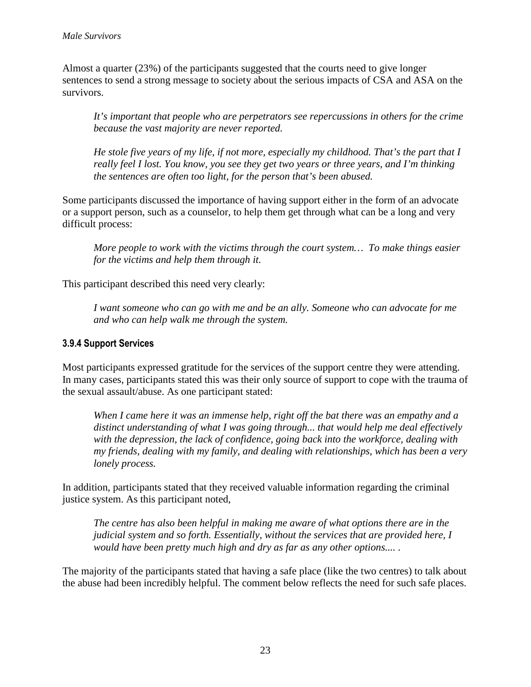Almost a quarter (23%) of the participants suggested that the courts need to give longer sentences to send a strong message to society about the serious impacts of CSA and ASA on the survivors.

*It's important that people who are perpetrators see repercussions in others for the crime because the vast majority are never reported.*

*He stole five years of my life, if not more, especially my childhood. That's the part that I really feel I lost. You know, you see they get two years or three years, and I'm thinking the sentences are often too light, for the person that's been abused.* 

Some participants discussed the importance of having support either in the form of an advocate or a support person, such as a counselor, to help them get through what can be a long and very difficult process:

*More people to work with the victims through the court system… To make things easier for the victims and help them through it.* 

This participant described this need very clearly:

*I want someone who can go with me and be an ally. Someone who can advocate for me and who can help walk me through the system.* 

# **3.9.4 Support Services**

Most participants expressed gratitude for the services of the support centre they were attending. In many cases, participants stated this was their only source of support to cope with the trauma of the sexual assault/abuse. As one participant stated:

*When I came here it was an immense help, right off the bat there was an empathy and a distinct understanding of what I was going through... that would help me deal effectively with the depression, the lack of confidence, going back into the workforce, dealing with my friends, dealing with my family, and dealing with relationships, which has been a very lonely process.*

In addition, participants stated that they received valuable information regarding the criminal justice system. As this participant noted,

*The centre has also been helpful in making me aware of what options there are in the judicial system and so forth. Essentially, without the services that are provided here, I would have been pretty much high and dry as far as any other options.... .* 

The majority of the participants stated that having a safe place (like the two centres) to talk about the abuse had been incredibly helpful. The comment below reflects the need for such safe places.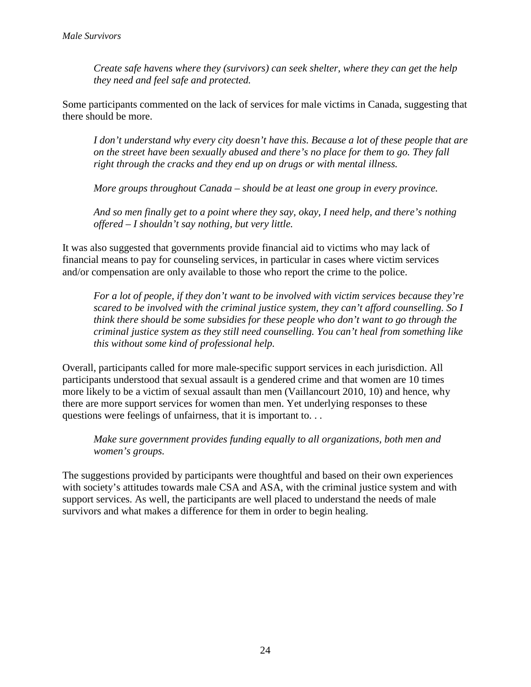*Create safe havens where they (survivors) can seek shelter, where they can get the help they need and feel safe and protected.* 

Some participants commented on the lack of services for male victims in Canada, suggesting that there should be more.

*I don't understand why every city doesn't have this. Because a lot of these people that are on the street have been sexually abused and there's no place for them to go. They fall right through the cracks and they end up on drugs or with mental illness.* 

*More groups throughout Canada – should be at least one group in every province.* 

*And so men finally get to a point where they say, okay, I need help, and there's nothing offered – I shouldn't say nothing, but very little.*

It was also suggested that governments provide financial aid to victims who may lack of financial means to pay for counseling services, in particular in cases where victim services and/or compensation are only available to those who report the crime to the police.

*For a lot of people, if they don't want to be involved with victim services because they're scared to be involved with the criminal justice system, they can't afford counselling. So I think there should be some subsidies for these people who don't want to go through the criminal justice system as they still need counselling. You can't heal from something like this without some kind of professional help.* 

Overall, participants called for more male-specific support services in each jurisdiction. All participants understood that sexual assault is a gendered crime and that women are 10 times more likely to be a victim of sexual assault than men (Vaillancourt 2010, 10) and hence, why there are more support services for women than men. Yet underlying responses to these questions were feelings of unfairness, that it is important to. . .

*Make sure government provides funding equally to all organizations, both men and women's groups.* 

The suggestions provided by participants were thoughtful and based on their own experiences with society's attitudes towards male CSA and ASA, with the criminal justice system and with support services. As well, the participants are well placed to understand the needs of male survivors and what makes a difference for them in order to begin healing.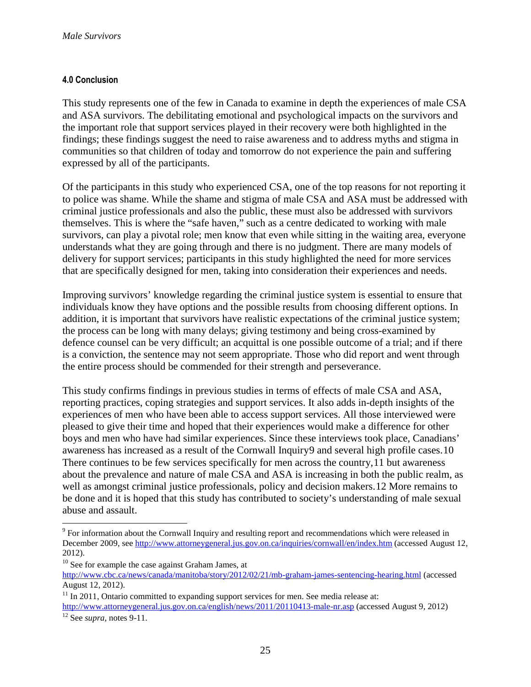#### **4.0 Conclusion**

This study represents one of the few in Canada to examine in depth the experiences of male CSA and ASA survivors. The debilitating emotional and psychological impacts on the survivors and the important role that support services played in their recovery were both highlighted in the findings; these findings suggest the need to raise awareness and to address myths and stigma in communities so that children of today and tomorrow do not experience the pain and suffering expressed by all of the participants.

Of the participants in this study who experienced CSA, one of the top reasons for not reporting it to police was shame. While the shame and stigma of male CSA and ASA must be addressed with criminal justice professionals and also the public, these must also be addressed with survivors themselves. This is where the "safe haven," such as a centre dedicated to working with male survivors, can play a pivotal role; men know that even while sitting in the waiting area, everyone understands what they are going through and there is no judgment. There are many models of delivery for support services; participants in this study highlighted the need for more services that are specifically designed for men, taking into consideration their experiences and needs.

Improving survivors' knowledge regarding the criminal justice system is essential to ensure that individuals know they have options and the possible results from choosing different options. In addition, it is important that survivors have realistic expectations of the criminal justice system; the process can be long with many delays; giving testimony and being cross-examined by defence counsel can be very difficult; an acquittal is one possible outcome of a trial; and if there is a conviction, the sentence may not seem appropriate. Those who did report and went through the entire process should be commended for their strength and perseverance.

This study confirms findings in previous studies in terms of effects of male CSA and ASA, reporting practices, coping strategies and support services. It also adds in-depth insights of the experiences of men who have been able to access support services. All those interviewed were pleased to give their time and hoped that their experiences would make a difference for other boys and men who have had similar experiences. Since these interviews took place, Canadians' awareness has increased as a result of the Cornwall Inquiry[9](#page-22-0) and several high profile cases.[10](#page-26-0) There continues to be few services specifically for men across the country,[11](#page-26-1) but awareness about the prevalence and nature of male CSA and ASA is increasing in both the public realm, as well as amongst criminal justice professionals, policy and decision makers.[12](#page-26-2) More remains to be done and it is hoped that this study has contributed to society's understanding of male sexual abuse and assault.

 $\overline{a}$ 

<sup>&</sup>lt;sup>9</sup> For information about the Cornwall Inquiry and resulting report and recommendations which were released in December 2009, see<http://www.attorneygeneral.jus.gov.on.ca/inquiries/cornwall/en/index.htm> (accessed August 12, 2012).

<span id="page-26-0"></span><sup>&</sup>lt;sup>10</sup> See for example the case against Graham James, at

<http://www.cbc.ca/news/canada/manitoba/story/2012/02/21/mb-graham-james-sentencing-hearing.html> (accessed August 12, 2012).

<span id="page-26-1"></span> $11$  In 2011, Ontario committed to expanding support services for men. See media release at:

<span id="page-26-2"></span><http://www.attorneygeneral.jus.gov.on.ca/english/news/2011/20110413-male-nr.asp> (accessed August 9, 2012) <sup>12</sup> See *supra,* notes 9-11.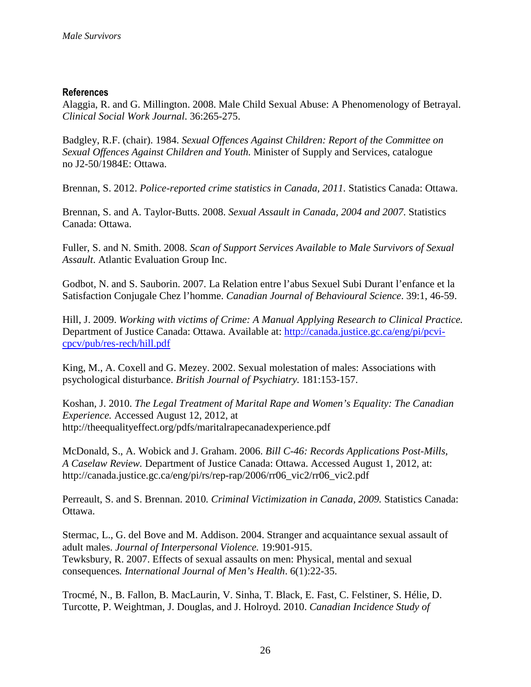#### **References**

Alaggia, R. and G. Millington. 2008. Male Child Sexual Abuse: A Phenomenology of Betrayal. *Clinical Social Work Journal*. 36:265-275.

Badgley, R.F. (chair). 1984. *Sexual Offences Against Children: Report of the Committee on Sexual Offences Against Children and Youth.* Minister of Supply and Services, catalogue no J2-50/1984E: Ottawa.

Brennan, S. 2012. *Police-reported crime statistics in Canada, 2011.* Statistics Canada: Ottawa.

Brennan, S. and A. Taylor-Butts. 2008. *Sexual Assault in Canada, 2004 and 2007*. Statistics Canada: Ottawa.

Fuller, S. and N. Smith. 2008. *Scan of Support Services Available to Male Survivors of Sexual Assault*. Atlantic Evaluation Group Inc.

Godbot, N. and S. Sauborin. 2007. La Relation entre l'abus Sexuel Subi Durant l'enfance et la Satisfaction Conjugale Chez l'homme. *Canadian Journal of Behavioural Science*. 39:1, 46-59.

Hill, J. 2009. *[Working with victims of Crime: A Manual Applying Research to Clinical Practice.](http://canada.justice.gc.ca/eng/pi/pcvi-cpcv/pub/res-rech/index.html)* Department of Justice Canada: Ottawa. Available at: [http://canada.justice.gc.ca/eng/pi/pcvi](http://canada.justice.gc.ca/eng/pi/pcvi-cpcv/pub/res-rech/hill.pdf)[cpcv/pub/res-rech/hill.pdf](http://canada.justice.gc.ca/eng/pi/pcvi-cpcv/pub/res-rech/hill.pdf)

King, M., A. Coxell and G. Mezey. 2002. Sexual molestation of males: Associations with psychological disturbance. *British Journal of Psychiatry.* 181:153-157.

Koshan, J. 2010. *The Legal Treatment of Marital Rape and Women's Equality: The Canadian Experience.* Accessed August 12, 2012, at http://theequalityeffect.org/pdfs/maritalrapecanadexperience.pdf

McDonald, S., A. Wobick and J. Graham. 2006. *Bill C-46: Records Applications Post-Mills, A Caselaw Review.* Department of Justice Canada: Ottawa. Accessed August 1, 2012, at: http://canada.justice.gc.ca/eng/pi/rs/rep-rap/2006/rr06\_vic2/rr06\_vic2.pdf

Perreault, S. and S. Brennan. 2010*. Criminal Victimization in Canada, 2009.* Statistics Canada: Ottawa.

Stermac, L., G. del Bove and M. Addison. 2004. Stranger and acquaintance sexual assault of adult males. *Journal of Interpersonal Violence.* 19:901-915. Tewksbury, R. 2007. Effects of sexual assaults on men: Physical, mental and sexual consequences*. International Journal of Men's Health*. 6(1):22-35.

Trocmé, N., B. Fallon, B. MacLaurin, V. Sinha, T. Black, E. Fast, C. Felstiner, S. Hélie, D. Turcotte, P. Weightman, J. Douglas, and J. Holroyd. 2010. *Canadian Incidence Study of*